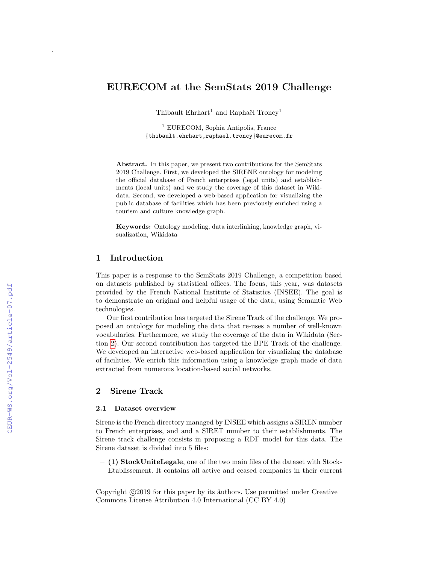# EURECOM at the SemStats 2019 Challenge

Thibault Ehrhart<sup>1</sup> and Raphaël Troncy<sup>1</sup>

<sup>1</sup> EURECOM, Sophia Antipolis, France {thibault.ehrhart,raphael.troncy}@eurecom.fr

Abstract. In this paper, we present two contributions for the SemStats 2019 Challenge. First, we developed the SIRENE ontology for modeling the official database of French enterprises (legal units) and establishments (local units) and we study the coverage of this dataset in Wikidata. Second, we developed a web-based application for visualizing the public database of facilities which has been previously enriched using a tourism and culture knowledge graph.

Keywords: Ontology modeling, data interlinking, knowledge graph, visualization, Wikidata

### 1 Introduction

This paper is a response to the SemStats 2019 Challenge, a competition based on datasets published by statistical offices. The focus, this year, was datasets provided by the French National Institute of Statistics (INSEE). The goal is to demonstrate an original and helpful usage of the data, using Semantic Web technologies.

Our first contribution has targeted the Sirene Track of the challenge. We proposed an ontology for modeling the data that re-uses a number of well-known vocabularies. Furthermore, we study the coverage of the data in Wikidata (Section [2\)](#page-0-0). Our second contribution has targeted the BPE Track of the challenge. We developed an interactive web-based application for visualizing the database of facilities. We enrich this information using a knowledge graph made of data extracted from numerous location-based social networks.

### <span id="page-0-0"></span>2 Sirene Track

#### 2.1 Dataset overview

Sirene is the French directory managed by INSEE which assigns a SIREN number to French enterprises, and and a SIRET number to their establishments. The Sirene track challenge consists in proposing a RDF model for this data. The Sirene dataset is divided into 5 files:

– (1) StockUniteLegale, one of the two main files of the dataset with Stock-Etablissement. It contains all active and ceased companies in their current

Copyright ©2019 for this paper by its authors. Use permitted under Creative Commons License Attribution 4.0 International (CC BY 4.0)

.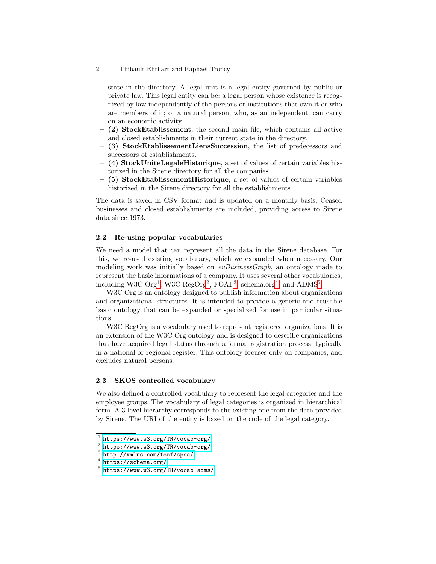state in the directory. A legal unit is a legal entity governed by public or private law. This legal entity can be: a legal person whose existence is recognized by law independently of the persons or institutions that own it or who are members of it; or a natural person, who, as an independent, can carry on an economic activity.

- (2) StockEtablissement, the second main file, which contains all active and closed establishments in their current state in the directory.
- (3) StockEtablissementLiensSuccession, the list of predecessors and successors of establishments.
- $-$  (4) StockUniteLegaleHistorique, a set of values of certain variables historized in the Sirene directory for all the companies.
- (5) StockEtablissementHistorique, a set of values of certain variables historized in the Sirene directory for all the establishments.

The data is saved in CSV format and is updated on a monthly basis. Ceased businesses and closed establishments are included, providing access to Sirene data since 1973.

### 2.2 Re-using popular vocabularies

We need a model that can represent all the data in the Sirene database. For this, we re-used existing vocabulary, which we expanded when necessary. Our modeling work was initially based on  $\omega$ BusinessGraph, an ontology made to represent the basic informations of a company. It uses several other vocabularies, including W[3](#page-1-2)C  $\text{Org}^1$  $\text{Org}^1$ , W3C  $\text{RegOrg}^2$  $\text{RegOrg}^2$ , FOAF<sup>3</sup>, schema.org<sup>[4](#page-1-3)</sup>, and ADMS<sup>[5](#page-1-4)</sup>.

W<sub>3</sub>C Org is an ontology designed to publish information about organizations and organizational structures. It is intended to provide a generic and reusable basic ontology that can be expanded or specialized for use in particular situations.

W<sub>3</sub>C RegOrg is a vocabulary used to represent registered organizations. It is an extension of the W3C Org ontology and is designed to describe organizations that have acquired legal status through a formal registration process, typically in a national or regional register. This ontology focuses only on companies, and excludes natural persons.

### 2.3 SKOS controlled vocabulary

We also defined a controlled vocabulary to represent the legal categories and the employee groups. The vocabulary of legal categories is organized in hierarchical form. A 3-level hierarchy corresponds to the existing one from the data provided by Sirene. The URI of the entity is based on the code of the legal category.

<sup>2</sup> Thibault Ehrhart and Raphaël Troncy

<span id="page-1-0"></span> $<sup>1</sup>$  <https://www.w3.org/TR/vocab-org/></sup>

<span id="page-1-1"></span> $^2$  <https://www.w3.org/TR/vocab-org/>

<span id="page-1-2"></span><sup>3</sup> <http://xmlns.com/foaf/spec/>

<span id="page-1-3"></span><sup>4</sup> <https://schema.org/>

<span id="page-1-4"></span><sup>5</sup> <https://www.w3.org/TR/vocab-adms/>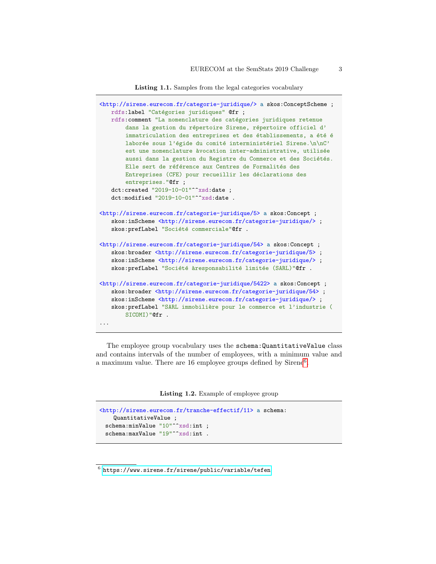```
Listing 1.1. Samples from the legal categories vocabulary
```

```
<http://sirene.eurecom.fr/categorie-juridique/> a skos:ConceptScheme ;
   rdfs:label "Catégories juridiques" Ofr ;
   rdfs: comment "La nomenclature des catégories juridiques retenue
       dans la gestion du répertoire Sirene, répertoire officiel d'
       immatriculation des entreprises et des établissements, a été é
       laborée sous l'égide du comité interministériel Sirene.\n\nC'
       est une nomenclature àvocation inter-administrative, utilisée
       aussi dans la gestion du Registre du Commerce et des Sociétés.
       Elle sert de référence aux Centres de Formalités des
       Entreprises (CFE) pour recueillir les déclarations des
       entreprises."@fr ;
   dct:created "2019-10-01"^^xsd:date ;
   dct:modified "2019-10-01"^^xsd:date .
<http://sirene.eurecom.fr/categorie-juridique/5> a skos:Concept ;
   skos:inScheme<br/> <http://sirene.eurecom.fr/categorie-juridique/> ;
   skos: prefLabel "Société commerciale"@fr .
<http://sirene.eurecom.fr/categorie-juridique/54> a skos:Concept ;
   skos:broader <http://sirene.eurecom.fr/categorie-juridique/5> ;
   skos:inScheme <http://sirene.eurecom.fr/categorie-juridique/> ;
   skos: prefLabel "Société àresponsabilité limitée (SARL)"@fr .
<http://sirene.eurecom.fr/categorie-juridique/5422> a skos:Concept ;
   skos:broader <http://sirene.eurecom.fr/categorie-juridique/54> ;
   skos: inScheme <http://sirene.eurecom.fr/categorie-juridique/>;
   skos: prefLabel "SARL immobilière pour le commerce et l'industrie (
       SICOMI)"@fr .
...
```
The employee group vocabulary uses the schema:QuantitativeValue class and contains intervals of the number of employees, with a minimum value and a maximum value. There are 1[6](#page-2-0) employee groups defined by  $Sirene<sup>6</sup>$ .

Listing 1.2. Example of employee group

```
<http://sirene.eurecom.fr/tranche-effectif/11> a schema:
    QuantitativeValue ;
 schema:minValue "10"^^xsd:int ;
 schema:maxValue "19"^^xsd:int .
```
<span id="page-2-0"></span> $^6$ <https://www.sirene.fr/sirene/public/variable/tefen>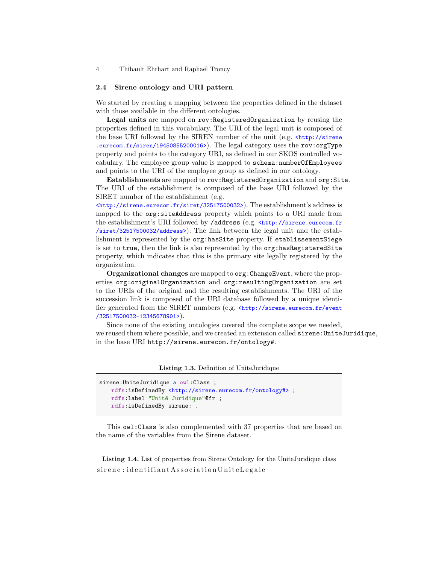#### 2.4 Sirene ontology and URI pattern

We started by creating a mapping between the properties defined in the dataset with those available in the different ontologies.

Legal units are mapped on rov:RegisteredOrganization by reusing the properties defined in this vocabulary. The URI of the legal unit is composed of the base URI followed by the SIREN number of the unit (e.g.  $\text{th}\text{t}$ )/sirene .eurecom.fr/siren/19450855200016>). The legal category uses the rov:orgType property and points to the category URI, as defined in our SKOS controlled vocabulary. The employee group value is mapped to schema:numberOfEmployees and points to the URI of the employee group as defined in our ontology.

Establishments are mapped to rov:RegisteredOrganization and org:Site. The URI of the establishment is composed of the base URI followed by the SIRET number of the establishment (e.g.

<http://sirene.eurecom.fr/siret/32517500032>). The establishment's address is mapped to the org:siteAddress property which points to a URI made from the establishment's URI followed by /address (e.g. <http://sirene.eurecom.fr /siret/32517500032/address>). The link between the legal unit and the establishment is represented by the org:hasSite property. If etablissementSiege is set to true, then the link is also represented by the org:hasRegisteredSite property, which indicates that this is the primary site legally registered by the organization.

Organizational changes are mapped to org:ChangeEvent, where the properties org:originalOrganization and org:resultingOrganization are set to the URIs of the original and the resulting establishments. The URI of the succession link is composed of the URI database followed by a unique identifier generated from the SIRET numbers (e.g.  $\text{http://sirene.eurecom.fr/event}$ ) /32517500032-12345678901>).

Since none of the existing ontologies covered the complete scope we needed, we reused them where possible, and we created an extension called sirene:UniteJuridique, in the base URI http://sirene.eurecom.fr/ontology#.

Listing 1.3. Definition of UniteJuridique

```
sirene:UniteJuridique a owl:Class ;
   rdfs:isDefinedBy <http://sirene.eurecom.fr/ontology#> ;
   rdfs:label "Unité Juridique"@fr ;
   rdfs:isDefinedBy sirene: .
```
This owl:Class is also complemented with 37 properties that are based on the name of the variables from the Sirene dataset.

Listing 1.4. List of properties from Sirene Ontology for the UniteJuridique class  $s$ irene: identifiant Association Unite Legale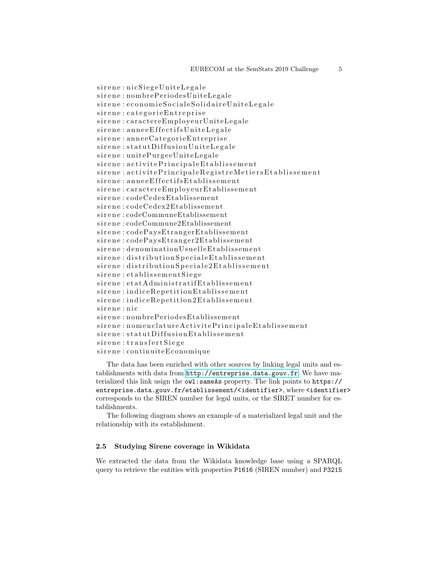sirene : nicSiegeUniteLegale sirene: nombrePeriodesUniteLegale sirene : economie Sociale Solidaire Unite Legale sirene : categorie Entreprise sirene : caractereEmployeurUniteLegale sirene : annee Effectifs Unite Legale  $s$ ir e n e : an nee Categorie Entreprise  $s$  i r e n e : statut Diffusion Unite Legale sirene : unitePurgeeUniteLegale sirene : activitePrincipaleEtablissement sirene : activitePrincipaleRegistreMetiersEtablissement sirene : annee Effectifs Etablissement  $s$  i r e n e : c a r a c t e r e Em ployeur E t a blissement sirene : codeCedexEtablissement sirene : codeCedex2Etablissement sirene: codeCommuneEtablissement sirene: codeCommune2Etablissement  $s$ irene: codePaysEtrangerEtablissement  $s$  irene: codePaysEtranger2Etablissement sirene : denomination Usuelle Etablissement sirene : distributionSpecialeEtablissement sirene : distribution Speciale 2 Etablissement  $s$  i r e n e : e t a blissement Siege  $s$ irene: etat Administratif Etablissement sirene: indice Repetition Etablissement  $s$ irene: indiceRepetition2Etablissement sirene : nic sirene: nombrePeriodesEtablissement  $s$ irene : nomenclatureActivitePrincipaleEtablissement  $s$  irene: statut Diffusion Etablissement  $s$  i r e n e : t r an s f e r t S i e g e sirene : continuiteEconomique

The data has been enriched with other sources by linking legal units and establishments with data from <http://entreprise.data.gouv.fr>. We have materialized this link usign the owl:sameAs property. The link points to https:// entreprise.data.gouv.fr/etablissement/<identifier>, where <identifier> corresponds to the SIREN number for legal units, or the SIRET number for establishments.

The following diagram shows an example of a materialized legal unit and the relationship with its establishment.

### 2.5 Studying Sirene coverage in Wikidata

We extracted the data from the Wikidata knowledge base using a SPARQL query to retrieve the entities with properties P1616 (SIREN number) and P3215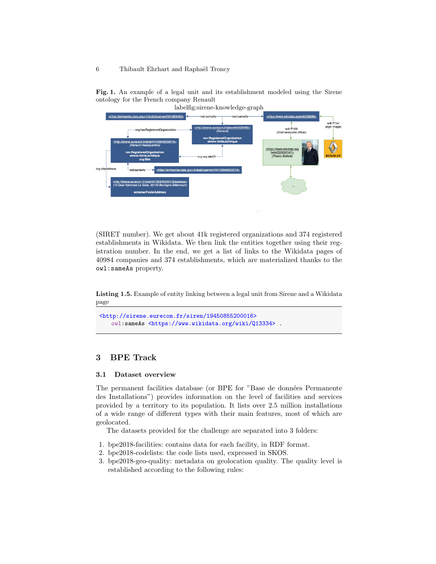Fig. 1. An example of a legal unit and its establishment modeled using the Sirene ontology for the French company Renault



(SIRET number). We get about 41k registered organizations and 374 registered establishments in Wikidata. We then link the entities together using their registration number. In the end, we get a list of links to the Wikidata pages of 40984 companies and 374 establishments, which are materialized thanks to the owl:sameAs property.

Listing 1.5. Example of entity linking between a legal unit from Sirene and a Wikidata page

```
<http://sirene.eurecom.fr/siren/19450855200016>
   owl:sameAs <https://www.wikidata.org/wiki/Q13334> .
```
## 3 BPE Track

### 3.1 Dataset overview

The permanent facilities database (or BPE for "Base de données Permanente des Installations") provides information on the level of facilities and services provided by a territory to its population. It lists over 2.5 million installations of a wide range of different types with their main features, most of which are geolocated.

The datasets provided for the challenge are separated into 3 folders:

- 1. bpe2018-facilities: contains data for each facility, in RDF format.
- 2. bpe2018-codelists: the code lists used, expressed in SKOS.
- 3. bpe2018-geo-quality: metadata on geolocation quality. The quality level is established according to the following rules: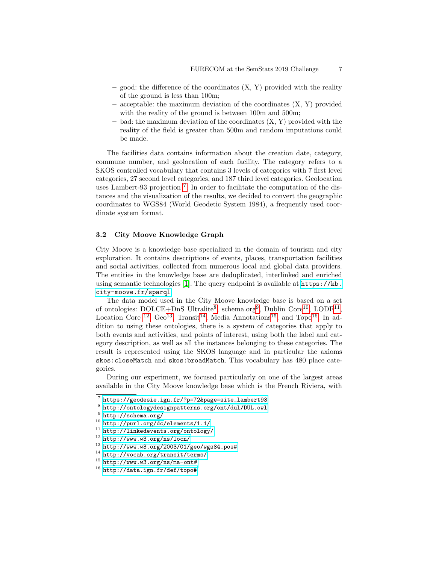- good: the difference of the coordinates  $(X, Y)$  provided with the reality of the ground is less than 100m;
- acceptable: the maximum deviation of the coordinates  $(X, Y)$  provided with the reality of the ground is between  $100m$  and  $500m$ ;
- $-$  bad: the maximum deviation of the coordinates  $(X, Y)$  provided with the reality of the field is greater than 500m and random imputations could be made.

The facilities data contains information about the creation date, category, commune number, and geolocation of each facility. The category refers to a SKOS controlled vocabulary that contains 3 levels of categories with 7 first level categories, 27 second level categories, and 187 third level categories. Geolocation uses Lambert-93 projection [7](#page-6-0) . In order to facilitate the computation of the distances and the visualization of the results, we decided to convert the geographic coordinates to WGS84 (World Geodetic System 1984), a frequently used coordinate system format.

### 3.2 City Moove Knowledge Graph

City Moove is a knowledge base specialized in the domain of tourism and city exploration. It contains descriptions of events, places, transportation facilities and social activities, collected from numerous local and global data providers. The entities in the knowledge base are deduplicated, interlinked and enriched using semantic technologies [\[1\]](#page-10-0). The query endpoint is available at  $https://kb.$ [city-moove.fr/sparql](https://kb.city-moove.fr/sparql).

The data model used in the City Moove knowledge base is based on a set of ontologies:  $\text{DOLCE+DnS}$  Ultralite<sup>[8](#page-6-1)</sup>, schema.org<sup>[9](#page-6-2)</sup>, Dublin Core<sup>[10](#page-6-3)</sup>, LODE<sup>[11](#page-6-4)</sup>, Location Core <sup>[12](#page-6-5)</sup>, Geo<sup>[13](#page-6-6)</sup>, Transit<sup>[14](#page-6-7)</sup>, Media Annotations<sup>[15](#page-6-8)</sup>, and Topo<sup>[16](#page-6-9)</sup>. In addition to using these ontologies, there is a system of categories that apply to both events and activities, and points of interest, using both the label and category description, as well as all the instances belonging to these categories. The result is represented using the SKOS language and in particular the axioms skos:closeMatch and skos:broadMatch. This vocabulary has 480 place categories.

During our experiment, we focused particularly on one of the largest areas available in the City Moove knowledge base which is the French Riviera, with

<span id="page-6-8"></span> $15$  <http://www.w3.org/ns/ma-ont#>

<span id="page-6-0"></span><sup>7</sup> [https://geodesie.ign.fr/?p=72&page=site\\_lambert93](https://geodesie.ign.fr/?p=72&page=site_lambert93)

<span id="page-6-1"></span><sup>8</sup> <http://ontologydesignpatterns.org/ont/dul/DUL.owl>

<span id="page-6-2"></span> $^9$  <http://schema.org/>

<span id="page-6-3"></span><sup>10</sup> <http://purl.org/dc/elements/1.1/>

<span id="page-6-4"></span><sup>11</sup> <http://linkedevents.org/ontology/>

<span id="page-6-5"></span><sup>12</sup> <http://www.w3.org/ns/locn/>

<span id="page-6-6"></span> $13 \text{ http://www.w3.org/2003/01/geo/wgs84_pos#}$  $13 \text{ http://www.w3.org/2003/01/geo/wgs84_pos#}$  $13 \text{ http://www.w3.org/2003/01/geo/wgs84_pos#}$ 

<span id="page-6-7"></span><sup>14</sup> <http://vocab.org/transit/terms/>

<span id="page-6-9"></span><sup>16</sup> <http://data.ign.fr/def/topo#>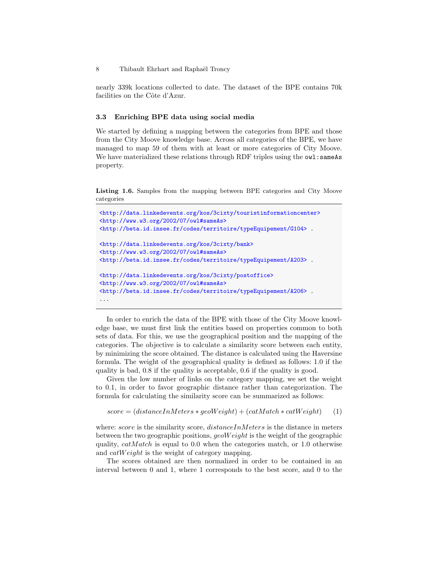nearly 339k locations collected to date. The dataset of the BPE contains 70k facilities on the Côte d'Azur.

### 3.3 Enriching BPE data using social media

We started by defining a mapping between the categories from BPE and those from the City Moove knowledge base. Across all categories of the BPE, we have managed to map 59 of them with at least or more categories of City Moove. We have materialized these relations through RDF triples using the owl:sameAs property.

Listing 1.6. Samples from the mapping between BPE categories and City Moove categories

```
<http://data.linkedevents.org/kos/3cixty/touristinformationcenter>
<http://www.w3.org/2002/07/owl#sameAs>
<http://beta.id.insee.fr/codes/territoire/typeEquipement/G104> .
<http://data.linkedevents.org/kos/3cixty/bank>
<http://www.w3.org/2002/07/owl#sameAs>
<http://beta.id.insee.fr/codes/territoire/typeEquipement/A203> .
<http://data.linkedevents.org/kos/3cixty/postoffice>
<http://www.w3.org/2002/07/owl#sameAs>
<http://beta.id.insee.fr/codes/territoire/typeEquipement/A206> .
...
```
In order to enrich the data of the BPE with those of the City Moove knowledge base, we must first link the entities based on properties common to both sets of data. For this, we use the geographical position and the mapping of the categories. The objective is to calculate a similarity score between each entity, by minimizing the score obtained. The distance is calculated using the Haversine formula. The weight of the geographical quality is defined as follows: 1.0 if the quality is bad, 0.8 if the quality is acceptable, 0.6 if the quality is good.

Given the low number of links on the category mapping, we set the weight to 0.1, in order to favor geographic distance rather than categorization. The formula for calculating the similarity score can be summarized as follows:

```
score = (distanceInMeters * geoWeight) + (catMatch * catWeight) (1)
```
where: score is the similarity score,  $distanceInMeters$  is the distance in meters between the two geographic positions,  $q\in W\neq q\in W$  is the weight of the geographic quality,  $catMatch$  is equal to 0.0 when the categories match, or 1.0 otherwise and *catWeight* is the weight of category mapping.

The scores obtained are then normalized in order to be contained in an interval between 0 and 1, where 1 corresponds to the best score, and 0 to the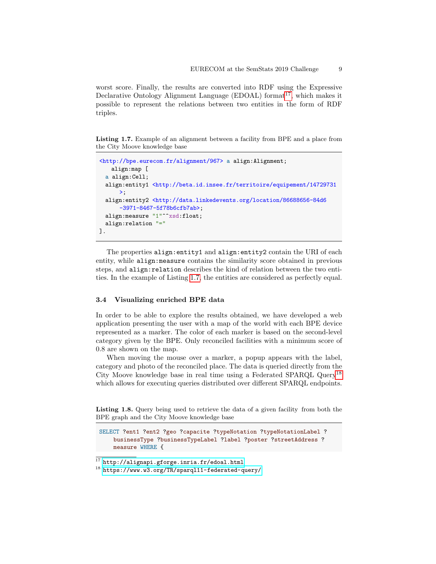worst score. Finally, the results are converted into RDF using the Expressive Declarative Ontology Alignment Language (EDOAL) format<sup>[17](#page-8-0)</sup>, which makes it possible to represent the relations between two entities in the form of RDF triples.

<span id="page-8-1"></span>Listing 1.7. Example of an alignment between a facility from BPE and a place from the City Moove knowledge base

```
<http://bpe.eurecom.fr/alignment/967> a align:Alignment;
   align:map [
 a align:Cell;
 align:entity1 <http://beta.id.insee.fr/territoire/equipement/14729731
      \ge;
 align:entity2 <http://data.linkedevents.org/location/86688656-84d6
      -3971-8467-5f78b6cfb7ab>;
 align:measure "1"^^xsd:float;
 align:relation "="
].
```
The properties align: entity1 and align: entity2 contain the URI of each entity, while align:measure contains the similarity score obtained in previous steps, and align: relation describes the kind of relation between the two entities. In the example of Listing [1.7,](#page-8-1) the entities are considered as perfectly equal.

### 3.4 Visualizing enriched BPE data

In order to be able to explore the results obtained, we have developed a web application presenting the user with a map of the world with each BPE device represented as a marker. The color of each marker is based on the second-level category given by the BPE. Only reconciled facilities with a minimum score of 0.8 are shown on the map.

When moving the mouse over a marker, a popup appears with the label, category and photo of the reconciled place. The data is queried directly from the City Moove knowledge base in real time using a Federated SPARQL Query[18](#page-8-2) which allows for executing queries distributed over different SPARQL endpoints.

Listing 1.8. Query being used to retrieve the data of a given facility from both the BPE graph and the City Moove knowledge base

SELECT ?ent1 ?ent2 ?geo ?capacite ?typeNotation ?typeNotationLabel ? businessType ?businessTypeLabel ?label ?poster ?streetAddress ? measure WHERE {

<span id="page-8-0"></span> $^{17}$ <http://alignapi.gforge.inria.fr/edoal.html>

<span id="page-8-2"></span><sup>18</sup> <https://www.w3.org/TR/sparql11-federated-query/>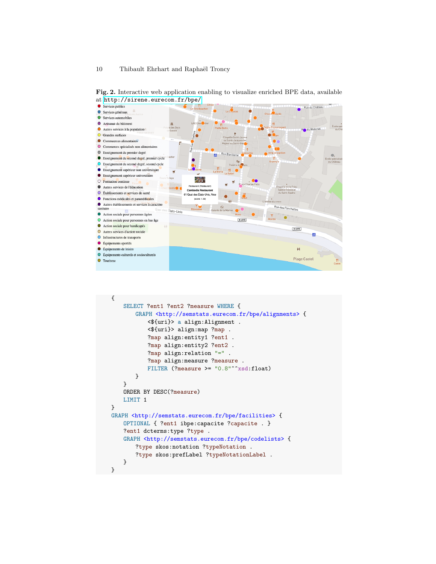

Fig. 2. Interactive web application enabling to visualize enriched BPE data, available

```
{
   SELECT ?ent1 ?ent2 ?measure WHERE {
       GRAPH <http://semstats.eurecom.fr/bpe/alignments> {
           <${uri}> a align:Alignment .
           <${uri}> align:map ?map .
           ?map align:entity1 ?ent1 .
           ?map align:entity2 ?ent2.
           ?map align:relation "=" .
           ?map align:measure ?measure .
           FILTER (?measure >= "0.8"^^xsd:float)
       }
   }
   ORDER BY DESC(?measure)
   LIMIT 1
}
GRAPH <http://semstats.eurecom.fr/bpe/facilities> {
   OPTIONAL { ?ent1 ibpe:capacite ?capacite . }
   ?ent1 dcterms:type ?type .
   GRAPH <http://semstats.eurecom.fr/bpe/codelists> {
       ?type skos:notation ?typeNotation .
       ?type skos:prefLabel ?typeNotationLabel .
   }
}
```